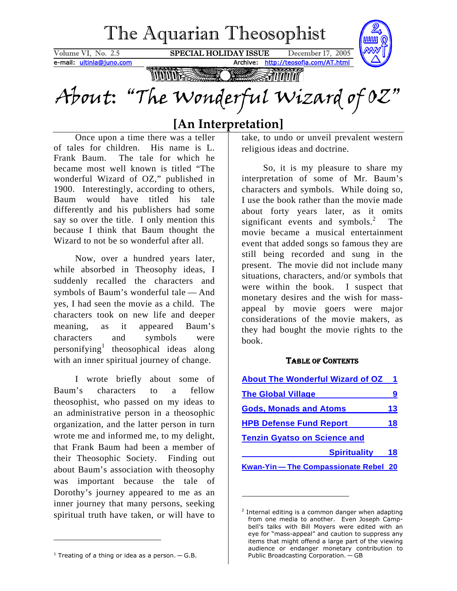<span id="page-0-2"></span>

# **[An Interpretation]**

Once upon a time there was a teller of tales for children. His name is L. Frank Baum. The tale for which he became most well known is titled "The wonderful Wizard of OZ," published in 1900. Interestingly, according to others, Baum would have titled his tale differently and his publishers had some say so over the title. I only mention this because I think that Baum thought the Wizard to not be so wonderful after all.

Now, over a hundred years later, while absorbed in Theosophy ideas, I suddenly recalled the characters and symbols of Baum's wonderful tale — And yes, I had seen the movie as a child. The characters took on new life and deeper meaning, as it appeared Baum's characters and symbols were personifying<sup>1</sup>theosophical ideas along with an inner spiritual journey of change.

I wrote briefly about some of Baum's characters to a fellow theosophist, who passed on my ideas to an administrative person in a theosophic organization, and the latter person in turn wrote me and informed me, to my delight, that Frank Baum had been a member of their Theosophic Society. Finding out about Baum's association with theosophy was important because the tale of Dorothy's journey appeared to me as an inner journey that many persons, seeking spiritual truth have taken, or will have to

So, it is my pleasure to share my interpretation of some of Mr. Baum's characters and symbols. While doing so, I use the book rather than the movie made about forty years later, as it omits significant events and symbols. $2$  The movie became a musical entertainment event that added songs so famous they are still being recorded and sung in the present. The movie did not include many situations, characters, and/or symbols that were within the book. I suspect that monetary desires and the wish for massappeal by movie goers were major considerations of the movie makers, as they had bought the movie rights to the book.

## TABLE OF CONTENTS

| <b>About The Wonderful Wizard of OZ</b> | $\blacktriangleleft$ |
|-----------------------------------------|----------------------|
| <b>The Global Village</b>               | 9                    |
| <b>Gods, Monads and Atoms</b>           | 13                   |
| <b>HPB Defense Fund Report</b>          | 18                   |
| <b>Tenzin Gyatso on Science and</b>     |                      |
| <b>Spirituality</b>                     | 18                   |
| Kwan-Yin - The Compassionate Rebel 20   |                      |

 $\overline{a}$ 

take, to undo or unveil prevalent western religious ideas and doctrine.

<span id="page-0-1"></span> $2$  Internal editing is a common danger when adapting from one media to another. Even Joseph Campbell's talks with Bill Moyers were edited with an eye for "mass-appeal" and caution to suppress any items that might offend a large part of the viewing audience or endanger monetary contribution to Public Broadcasting Corporation. — GB

<span id="page-0-0"></span> $1$  Treating of a thing or idea as a person.  $-$  G.B.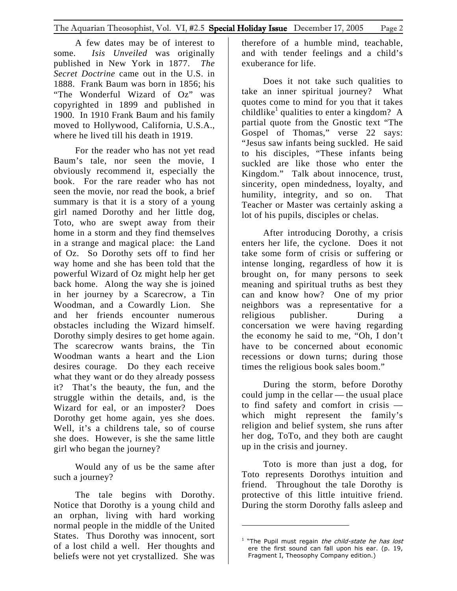A few dates may be of interest to some. *Isis Unveiled* was originally published in New York in 1877. *The Secret Doctrine* came out in the U.S. in 1888. Frank Baum was born in 1856; his "The Wonderful Wizard of Oz" was copyrighted in 1899 and published in 1900. In 1910 Frank Baum and his family moved to Hollywood, California, U.S.A., where he lived till his death in 1919.

For the reader who has not yet read Baum's tale, nor seen the movie, I obviously recommend it, especially the book. For the rare reader who has not seen the movie, nor read the book, a brief summary is that it is a story of a young girl named Dorothy and her little dog, Toto, who are swept away from their home in a storm and they find themselves in a strange and magical place: the Land of Oz. So Dorothy sets off to find her way home and she has been told that the powerful Wizard of Oz might help her get back home. Along the way she is joined in her journey by a Scarecrow, a Tin Woodman, and a Cowardly Lion. She and her friends encounter numerous obstacles including the Wizard himself. Dorothy simply desires to get home again. The scarecrow wants brains, the Tin Woodman wants a heart and the Lion desires courage. Do they each receive what they want or do they already possess it? That's the beauty, the fun, and the struggle within the details, and, is the Wizard for eal, or an imposter? Does Dorothy get home again, yes she does. Well, it's a childrens tale, so of course she does. However, is she the same little girl who began the journey?

Would any of us be the same after such a journey?

The tale begins with Dorothy. Notice that Dorothy is a young child and an orphan, living with hard working normal people in the middle of the United States. Thus Dorothy was innocent, sort of a lost child a well. Her thoughts and beliefs were not yet crystallized. She was

therefore of a humble mind, teachable, and with tender feelings and a child's exuberance for life.

Does it not take such qualities to take an inner spiritual journey? What quotes come to mind for you that it takes childlike<sup>[1](#page-1-0)</sup> qualities to enter a kingdom? A partial quote from the Gnostic text "The Gospel of Thomas," verse 22 says: "Jesus saw infants being suckled. He said to his disciples, "These infants being suckled are like those who enter the Kingdom." Talk about innocence, trust, sincerity, open mindedness, loyalty, and humility, integrity, and so on. That Teacher or Master was certainly asking a lot of his pupils, disciples or chelas.

After introducing Dorothy, a crisis enters her life, the cyclone. Does it not take some form of crisis or suffering or intense longing, regardless of how it is brought on, for many persons to seek meaning and spiritual truths as best they can and know how? One of my prior neighbors was a representative for a religious publisher. During a concersation we were having regarding the economy he said to me, "Oh, I don't have to be concerned about economic recessions or down turns; during those times the religious book sales boom."

During the storm, before Dorothy could jump in the cellar — the usual place to find safety and comfort in crisis which might represent the family's religion and belief system, she runs after her dog, ToTo, and they both are caught up in the crisis and journey.

Toto is more than just a dog, for Toto represents Dorothys intuition and friend. Throughout the tale Dorothy is protective of this little intuitive friend. During the storm Dorothy falls asleep and

<span id="page-1-0"></span> $1$  "The Pupil must regain the child-state he has lost ere the first sound can fall upon his ear. (p. 19, Fragment I, Theosophy Company edition.)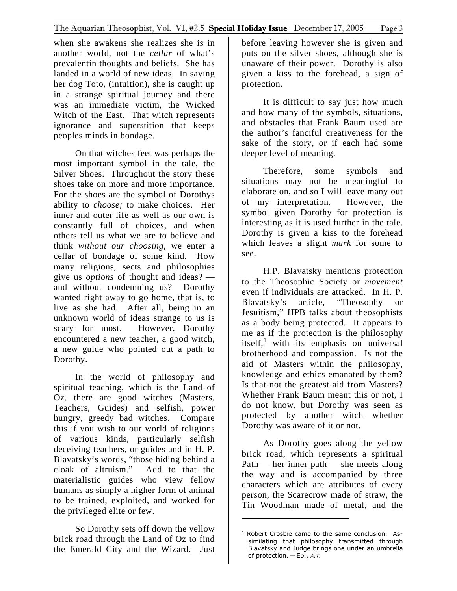when she awakens she realizes she is in another world, not the *cellar* of what's prevalentin thoughts and beliefs. She has landed in a world of new ideas. In saving her dog Toto, (intuition), she is caught up in a strange spiritual journey and there was an immediate victim, the Wicked Witch of the East. That witch represents ignorance and superstition that keeps peoples minds in bondage.

On that witches feet was perhaps the most important symbol in the tale, the Silver Shoes. Throughout the story these shoes take on more and more importance. For the shoes are the symbol of Dorothys ability to *choose;* to make choices. Her inner and outer life as well as our own is constantly full of choices, and when others tell us what we are to believe and think *without our choosing,* we enter a cellar of bondage of some kind. How many religions, sects and philosophies give us *options* of thought and ideas? and without condemning us? Dorothy wanted right away to go home, that is, to live as she had. After all, being in an unknown world of ideas strange to us is scary for most. However, Dorothy encountered a new teacher, a good witch, a new guide who pointed out a path to Dorothy.

In the world of philosophy and spiritual teaching, which is the Land of Oz, there are good witches (Masters, Teachers, Guides) and selfish, power hungry, greedy bad witches. Compare this if you wish to our world of religions of various kinds, particularly selfish deceiving teachers, or guides and in H. P. Blavatsky's words, "those hiding behind a cloak of altruism." Add to that the materialistic guides who view fellow humans as simply a higher form of animal to be trained, exploited, and worked for the privileged elite or few.

So Dorothy sets off down the yellow brick road through the Land of Oz to find the Emerald City and the Wizard. Just before leaving however she is given and puts on the silver shoes, although she is unaware of their power. Dorothy is also given a kiss to the forehead, a sign of protection.

It is difficult to say just how much and how many of the symbols, situations, and obstacles that Frank Baum used are the author's fanciful creativeness for the sake of the story, or if each had some deeper level of meaning.

Therefore, some symbols and situations may not be meaningful to elaborate on, and so I will leave many out of my interpretation. However, the symbol given Dorothy for protection is interesting as it is used further in the tale. Dorothy is given a kiss to the forehead which leaves a slight *mark* for some to see.

H.P. Blavatsky mentions protection to the Theosophic Society or *movement* even if individuals are attacked. In H. P. Blavatsky's article, "Theosophy or Jesuitism," HPB talks about theosophists as a body being protected. It appears to me as if the protection is the philosophy itself,<sup>[1](#page-2-0)</sup> with its emphasis on universal brotherhood and compassion. Is not the aid of Masters within the philosophy, knowledge and ethics emanated by them? Is that not the greatest aid from Masters? Whether Frank Baum meant this or not, I do not know, but Dorothy was seen as protected by another witch whether Dorothy was aware of it or not.

As Dorothy goes along the yellow brick road, which represents a spiritual Path — her inner path — she meets along the way and is accompanied by three characters which are attributes of every person, the Scarecrow made of straw, the Tin Woodman made of metal, and the

l

<span id="page-2-0"></span><sup>&</sup>lt;sup>1</sup> Robert Crosbie came to the same conclusion. Assimilating that philosophy transmitted through Blavatsky and Judge brings one under an umbrella of protection.  $-$  ED., A.T.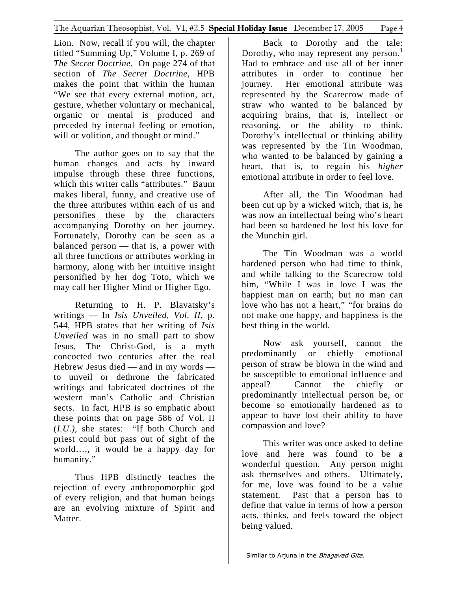Lion. Now, recall if you will, the chapter titled "Summing Up," Volume I, p. 269 of *The Secret Doctrine.* On page 274 of that section of *The Secret Doctrine,* HPB makes the point that within the human "We see that every external motion, act, gesture, whether voluntary or mechanical, organic or mental is produced and preceded by internal feeling or emotion, will or volition, and thought or mind."

The author goes on to say that the human changes and acts by inward impulse through these three functions, which this writer calls "attributes." Baum makes liberal, funny, and creative use of the three attributes within each of us and personifies these by the characters accompanying Dorothy on her journey. Fortunately, Dorothy can be seen as a balanced person — that is, a power with all three functions or attributes working in harmony, along with her intuitive insight personified by her dog Toto, which we may call her Higher Mind or Higher Ego.

Returning to H. P. Blavatsky's writings — In *Isis Unveiled, Vol. II,* p. 544, HPB states that her writing of *Isis Unveiled* was in no small part to show Jesus, The Christ-God, is a myth concocted two centuries after the real Hebrew Jesus died — and in my words to unveil or dethrone the fabricated writings and fabricated doctrines of the western man's Catholic and Christian sects. In fact, HPB is so emphatic about these points that on page 586 of Vol. II (*I.U.),* she states: "If both Church and priest could but pass out of sight of the world…., it would be a happy day for humanity."

Thus HPB distinctly teaches the rejection of every anthropomorphic god of every religion, and that human beings are an evolving mixture of Spirit and Matter.

Back to Dorothy and the tale: Dorothy, who may represent any person.<sup>[1](#page-3-0)</sup> Had to embrace and use all of her inner attributes in order to continue her journey. Her emotional attribute was represented by the Scarecrow made of straw who wanted to be balanced by acquiring brains, that is, intellect or reasoning, or the ability to think. Dorothy's intellectual or thinking ability was represented by the Tin Woodman, who wanted to be balanced by gaining a heart, that is, to regain his *higher* emotional attribute in order to feel love.

After all, the Tin Woodman had been cut up by a wicked witch, that is, he was now an intellectual being who's heart had been so hardened he lost his love for the Munchin girl.

The Tin Woodman was a world hardened person who had time to think, and while talking to the Scarecrow told him, "While I was in love I was the happiest man on earth; but no man can love who has not a heart," "for brains do not make one happy, and happiness is the best thing in the world.

Now ask yourself, cannot the predominantly or chiefly emotional person of straw be blown in the wind and be susceptible to emotional influence and appeal? Cannot the chiefly or predominantly intellectual person be, or become so emotionally hardened as to appear to have lost their ability to have compassion and love?

This writer was once asked to define love and here was found to be a wonderful question. Any person might ask themselves and others. Ultimately, for me, love was found to be a value statement. Past that a person has to define that value in terms of how a person acts, thinks, and feels toward the object being valued.

<span id="page-3-0"></span> $<sup>1</sup>$  Similar to Arjuna in the *Bhagavad Gita.*</sup>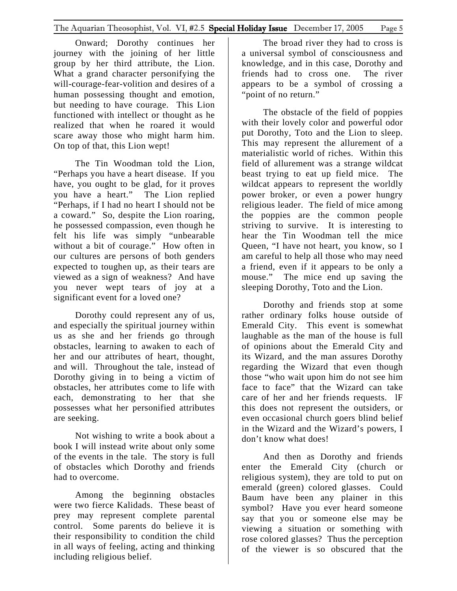Onward; Dorothy continues her journey with the joining of her little group by her third attribute, the Lion. What a grand character personifying the will-courage-fear-volition and desires of a human possessing thought and emotion, but needing to have courage. This Lion functioned with intellect or thought as he realized that when he roared it would scare away those who might harm him. On top of that, this Lion wept!

The Tin Woodman told the Lion, "Perhaps you have a heart disease. If you have, you ought to be glad, for it proves you have a heart." The Lion replied "Perhaps, if I had no heart I should not be a coward." So, despite the Lion roaring, he possessed compassion, even though he felt his life was simply "unbearable without a bit of courage." How often in our cultures are persons of both genders expected to toughen up, as their tears are viewed as a sign of weakness? And have you never wept tears of joy at a significant event for a loved one?

Dorothy could represent any of us, and especially the spiritual journey within us as she and her friends go through obstacles, learning to awaken to each of her and our attributes of heart, thought, and will. Throughout the tale, instead of Dorothy giving in to being a victim of obstacles, her attributes come to life with each, demonstrating to her that she possesses what her personified attributes are seeking.

Not wishing to write a book about a book I will instead write about only some of the events in the tale. The story is full of obstacles which Dorothy and friends had to overcome.

Among the beginning obstacles were two fierce Kalidads. These beast of prey may represent complete parental control. Some parents do believe it is their responsibility to condition the child in all ways of feeling, acting and thinking including religious belief.

The broad river they had to cross is a universal symbol of consciousness and knowledge, and in this case, Dorothy and friends had to cross one. The river appears to be a symbol of crossing a "point of no return."

The obstacle of the field of poppies with their lovely color and powerful odor put Dorothy, Toto and the Lion to sleep. This may represent the allurement of a materialistic world of riches. Within this field of allurement was a strange wildcat beast trying to eat up field mice. The wildcat appears to represent the worldly power broker, or even a power hungry religious leader. The field of mice among the poppies are the common people striving to survive. It is interesting to hear the Tin Woodman tell the mice Queen, "I have not heart, you know, so I am careful to help all those who may need a friend, even if it appears to be only a mouse." The mice end up saving the sleeping Dorothy, Toto and the Lion.

Dorothy and friends stop at some rather ordinary folks house outside of Emerald City. This event is somewhat laughable as the man of the house is full of opinions about the Emerald City and its Wizard, and the man assures Dorothy regarding the Wizard that even though those "who wait upon him do not see him face to face" that the Wizard can take care of her and her friends requests. lF this does not represent the outsiders, or even occasional church goers blind belief in the Wizard and the Wizard's powers, I don't know what does!

And then as Dorothy and friends enter the Emerald City (church or religious system), they are told to put on emerald (green) colored glasses. Could Baum have been any plainer in this symbol? Have you ever heard someone say that you or someone else may be viewing a situation or something with rose colored glasses? Thus the perception of the viewer is so obscured that the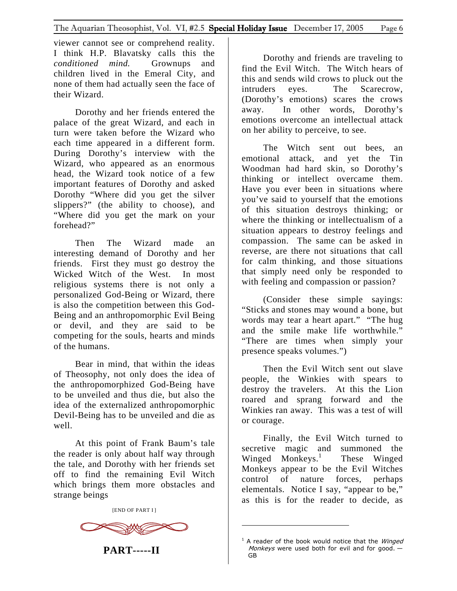viewer cannot see or comprehend reality. I think H.P. Blavatsky calls this the *conditioned mind.* Grownups and children lived in the Emeral City, and none of them had actually seen the face of their Wizard.

Dorothy and her friends entered the palace of the great Wizard, and each in turn were taken before the Wizard who each time appeared in a different form. During Dorothy's interview with the Wizard, who appeared as an enormous head, the Wizard took notice of a few important features of Dorothy and asked Dorothy "Where did you get the silver slippers?" (the ability to choose), and "Where did you get the mark on your forehead?"

Then The Wizard made an interesting demand of Dorothy and her friends. First they must go destroy the Wicked Witch of the West. In most religious systems there is not only a personalized God-Being or Wizard, there is also the competition between this God-Being and an anthropomorphic Evil Being or devil, and they are said to be competing for the souls, hearts and minds of the humans.

Bear in mind, that within the ideas of Theosophy, not only does the idea of the anthropomorphized God-Being have to be unveiled and thus die, but also the idea of the externalized anthropomorphic Devil-Being has to be unveiled and die as well.

At this point of Frank Baum's tale the reader is only about half way through the tale, and Dorothy with her friends set off to find the remaining Evil Witch which brings them more obstacles and strange beings

[END OF PART I ]



**PART-----II** 

Dorothy and friends are traveling to find the Evil Witch. The Witch hears of this and sends wild crows to pluck out the intruders eyes. The Scarecrow, (Dorothy's emotions) scares the crows away. In other words, Dorothy's emotions overcome an intellectual attack on her ability to perceive, to see.

The Witch sent out bees, an emotional attack, and yet the Tin Woodman had hard skin, so Dorothy's thinking or intellect overcame them. Have you ever been in situations where you've said to yourself that the emotions of this situation destroys thinking; or where the thinking or intellectualism of a situation appears to destroy feelings and compassion. The same can be asked in reverse, are there not situations that call for calm thinking, and those situations that simply need only be responded to with feeling and compassion or passion?

(Consider these simple sayings: "Sticks and stones may wound a bone, but words may tear a heart apart." "The hug and the smile make life worthwhile." "There are times when simply your presence speaks volumes.")

Then the Evil Witch sent out slave people, the Winkies with spears to destroy the travelers. At this the Lion roared and sprang forward and the Winkies ran away. This was a test of will or courage.

Finally, the Evil Witch turned to secretive magic and summoned the Winged Monkeys.<sup>[1](#page-5-0)</sup> These Winged Monkeys appear to be the Evil Witches control of nature forces, perhaps elementals. Notice I say, "appear to be," as this is for the reader to decide, as

<span id="page-5-0"></span> $1$  A reader of the book would notice that the *Winged* Monkeys were used both for evil and for good.  $-$ GB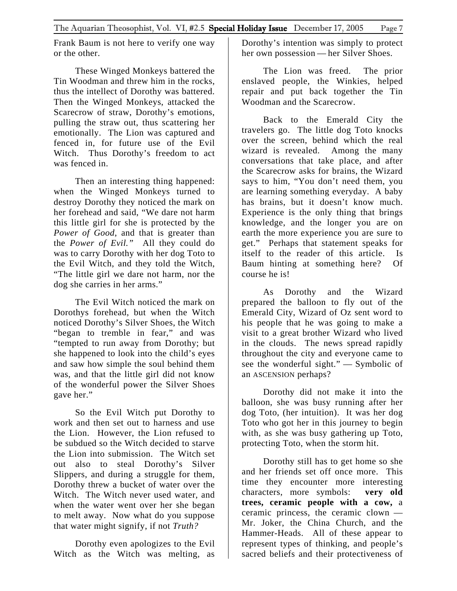Frank Baum is not here to verify one way or the other.

These Winged Monkeys battered the Tin Woodman and threw him in the rocks, thus the intellect of Dorothy was battered. Then the Winged Monkeys, attacked the Scarecrow of straw, Dorothy's emotions, pulling the straw out, thus scattering her emotionally. The Lion was captured and fenced in, for future use of the Evil Witch. Thus Dorothy's freedom to act was fenced in.

Then an interesting thing happened: when the Winged Monkeys turned to destroy Dorothy they noticed the mark on her forehead and said, "We dare not harm this little girl for she is protected by the *Power of Good*, and that is greater than the *Power of Evil."* All they could do was to carry Dorothy with her dog Toto to the Evil Witch, and they told the Witch, "The little girl we dare not harm, nor the dog she carries in her arms."

The Evil Witch noticed the mark on Dorothys forehead, but when the Witch noticed Dorothy's Silver Shoes, the Witch "began to tremble in fear," and was "tempted to run away from Dorothy; but she happened to look into the child's eyes and saw how simple the soul behind them was, and that the little girl did not know of the wonderful power the Silver Shoes gave her."

So the Evil Witch put Dorothy to work and then set out to harness and use the Lion. However, the Lion refused to be subdued so the Witch decided to starve the Lion into submission. The Witch set out also to steal Dorothy's Silver Slippers, and during a struggle for them, Dorothy threw a bucket of water over the Witch. The Witch never used water, and when the water went over her she began to melt away. Now what do you suppose that water might signify, if not *Truth?* 

Dorothy even apologizes to the Evil Witch as the Witch was melting, as

Dorothy's intention was simply to protect her own possession — her Silver Shoes.

The Lion was freed. The prior enslaved people, the Winkies, helped repair and put back together the Tin Woodman and the Scarecrow.

Back to the Emerald City the travelers go. The little dog Toto knocks over the screen, behind which the real wizard is revealed. Among the many conversations that take place, and after the Scarecrow asks for brains, the Wizard says to him, "You don't need them, you are learning something everyday. A baby has brains, but it doesn't know much. Experience is the only thing that brings knowledge, and the longer you are on earth the more experience you are sure to get." Perhaps that statement speaks for itself to the reader of this article. Is Baum hinting at something here? Of course he is!

As Dorothy and the Wizard prepared the balloon to fly out of the Emerald City, Wizard of Oz sent word to his people that he was going to make a visit to a great brother Wizard who lived in the clouds. The news spread rapidly throughout the city and everyone came to see the wonderful sight." — Symbolic of an ASCENSION perhaps?

Dorothy did not make it into the balloon, she was busy running after her dog Toto, (her intuition). It was her dog Toto who got her in this journey to begin with, as she was busy gathering up Toto, protecting Toto, when the storm hit.

Dorothy still has to get home so she and her friends set off once more. This time they encounter more interesting characters, more symbols: **very old trees, ceramic people with a cow,** a ceramic princess, the ceramic clown — Mr. Joker, the China Church, and the Hammer-Heads. All of these appear to represent types of thinking, and people's sacred beliefs and their protectiveness of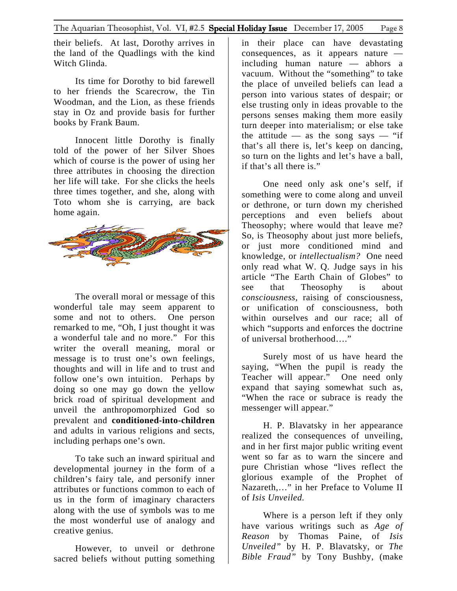their beliefs. At last, Dorothy arrives in the land of the Quadlings with the kind Witch Glinda.

Its time for Dorothy to bid farewell to her friends the Scarecrow, the Tin Woodman, and the Lion, as these friends stay in Oz and provide basis for further books by Frank Baum.

Innocent little Dorothy is finally told of the power of her Silver Shoes which of course is the power of using her three attributes in choosing the direction her life will take. For she clicks the heels three times together, and she, along with Toto whom she is carrying, are back home again.



The overall moral or message of this wonderful tale may seem apparent to some and not to others. One person remarked to me, "Oh, I just thought it was a wonderful tale and no more." For this writer the overall meaning, moral or message is to trust one's own feelings, thoughts and will in life and to trust and follow one's own intuition. Perhaps by doing so one may go down the yellow brick road of spiritual development and unveil the anthropomorphized God so prevalent and **conditioned-into-children** and adults in various religions and sects, including perhaps one's own.

To take such an inward spiritual and developmental journey in the form of a children's fairy tale, and personify inner attributes or functions common to each of us in the form of imaginary characters along with the use of symbols was to me the most wonderful use of analogy and creative genius.

However, to unveil or dethrone sacred beliefs without putting something

in their place can have devastating consequences, as it appears nature including human nature — abhors a vacuum. Without the "something" to take the place of unveiled beliefs can lead a person into various states of despair; or else trusting only in ideas provable to the persons senses making them more easily turn deeper into materialism; or else take the attitude — as the song says — "if that's all there is, let's keep on dancing, so turn on the lights and let's have a ball, if that's all there is."

One need only ask one's self, if something were to come along and unveil or dethrone, or turn down my cherished perceptions and even beliefs about Theosophy; where would that leave me? So, is Theosophy about just more beliefs, or just more conditioned mind and knowledge, or *intellectualism?* One need only read what W. Q. Judge says in his article "The Earth Chain of Globes" to see that Theosophy is about *consciousness,* raising of consciousness, or unification of consciousness, both within ourselves and our race; all of which "supports and enforces the doctrine of universal brotherhood…."

Surely most of us have heard the saying, "When the pupil is ready the Teacher will appear." One need only expand that saying somewhat such as, "When the race or subrace is ready the messenger will appear."

H. P. Blavatsky in her appearance realized the consequences of unveiling, and in her first major public writing event went so far as to warn the sincere and pure Christian whose "lives reflect the glorious example of the Prophet of Nazareth,…" in her Preface to Volume II of *Isis Unveiled.*

Where is a person left if they only have various writings such as *Age of Reason* by Thomas Paine, of *Isis Unveiled"* by H. P. Blavatsky, or *The Bible Fraud"* by Tony Bushby, (make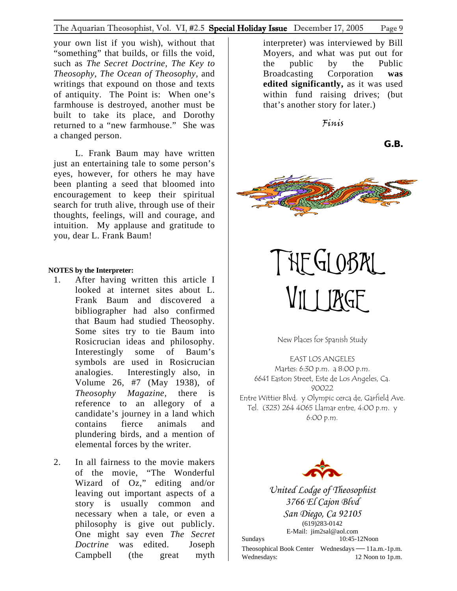<span id="page-8-0"></span>your own list if you wish), without that "something" that builds, or fills the void, such as *The Secret Doctrine, The Key to Theosophy, The Ocean of Theosophy,* and writings that expound on those and texts of antiquity. The Point is: When one's farmhouse is destroyed, another must be built to take its place, and Dorothy returned to a "new farmhouse." She was a changed person.

L. Frank Baum may have written just an entertaining tale to some person's eyes, however, for others he may have been planting a seed that bloomed into encouragement to keep their spiritual search for truth alive, through use of their thoughts, feelings, will and courage, and intuition. My applause and gratitude to you, dear L. Frank Baum!

#### **NOTES by the Interpreter:**

- 1. After having written this article I looked at internet sites about L. Frank Baum and discovered a bibliographer had also confirmed that Baum had studied Theosophy. Some sites try to tie Baum into Rosicrucian ideas and philosophy. Interestingly some of Baum's symbols are used in Rosicrucian analogies. Interestingly also, in Volume 26, #7 (May 1938), of *Theosophy Magazine,* there is reference to an allegory of a candidate's journey in a land which contains fierce animals and plundering birds, and a mention of elemental forces by the writer.
- 2. In all fairness to the movie makers of the movie, "The Wonderful Wizard of Oz," editing and/or leaving out important aspects of a story is usually common and necessary when a tale, or even a philosophy is give out publicly. One might say even *The Secret Doctrine* was edited. Joseph Campbell (the great myth

interpreter) was interviewed by Bill Moyers, and what was put out for the public by the Public Broadcasting Corporation **was edited significantly,** as it was used within fund raising drives; (but that's another story for later.)

Finis

**G.B.** 



THE GLOBAL VILLERGE

New Places for Spanish Study

EAST LOS ANGELES Martes: 6:30 p.m. a 8:00 p.m. 6641 Easton Street, Este de Los Angeles, Ca. 90022 Entre Wittier Blvd. y Olympic cerca de, Garfield Ave. Tel. (323) 264 4065 Llamar entre, 4:00 p.m. y 6:00 p.m.



*United Lodge of Theosophist 3766 El Cajon Blvd San Diego, Ca 92105*  (619)283-0142

E-Mail: jim2sal@aol.com Sundays 10:45-12Noon

Theosophical Book Center Wednesdays—11a.m.-1p.m. Wednesdays: 12 Noon to 1p.m.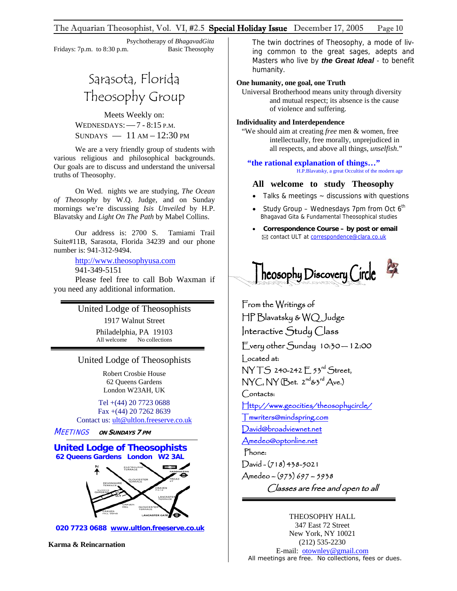#### The Aquarian Theosophist, Vol. VI,  $\#2.5$  **Special Holiday Issue** December 17, 2005 Page 10

 Psychotherapy of *BhagavadGita* Fridays: 7p.m. to 8:30 p.m. Basic Theosophy

# Sarasota, Florida Theosophy Group

Meets Weekly on: WEDNESDAYS:—7 - 8:15 P.M. SUNDAYS  $-11$  AM  $-12:30$  PM

We are a very friendly group of students with various religious and philosophical backgrounds. Our goals are to discuss and understand the universal truths of Theosophy.

On Wed. nights we are studying, *The Ocean of Theosophy* by W.Q. Judge, and on Sunday mornings we're discussing *Isis Unveiled* by H.P. Blavatsky and *Light On The Path* by Mabel Collins.

Our address is: 2700 S. Tamiami Trail Suite#11B, Sarasota, Florida 34239 and our phone number is: 941-312-9494.

http://www.theosophyusa.com

941-349-5151

Please feel free to call Bob Waxman if you need any additional information.

## United Lodge of Theosophists

1917 Walnut Street Philadelphia, PA 19103 All welcome No collections

#### United Lodge of Theosophists

Robert Crosbie House 62 Queens Gardens London W23AH, UK

Tel +(44) 20 7723 0688 Fax +(44) 20 7262 8639 Contact us: [ult@ultlon.freeserve.co.uk](mailto:ult@ultlon.freeserve.co.uk)

MEETINGS **ON SUNDAYS 7 PM**

#### **United Lodge of Theosophists 62 Queens Gardens London W2 3AL**

í



 **020 7723 0688 www.ultlon.freeserve.co.uk**

**Karma & Reincarnation** 

The twin doctrines of Theosophy, a mode of living common to the great sages, adepts and Masters who live by *the Great Ideal* - to benefit humanity.

## **One humanity, one goal, one Truth**

Universal Brotherhood means unity through diversity and mutual respect; its absence is the cause of violence and suffering.

## **Individuality and Interdependence**

"We should aim at creating *free* men & women, free intellectually, free morally, unprejudiced in all respects, and above all things, *unselfish*."

**"the rational explanation of things…"** H.P.Blavatsky, a great Occultist of the modern age

## **All welcome to study Theosophy**

- Talks & meetings  $\sim$  discussions with questions
- Study Group Wednesdays 7pm from Oct  $6<sup>th</sup>$ Bhagavad Gita & Fundamental Theosophical studies
- **Correspondence Course by post or email** ⊠ contact ULT at correspondence@clara.co.uk



From the Writings of HP Blavatsky & WQ Judge Interactive Study Class Every other Sunday 10:30 — 12:00 Located at: NY TS 240-242 E 53rd Street,  $NYC, NY$  (Bet.  $2^{nd}$ & $3^{rd}$  Ave.) Contacts: [Http://www.geocities/theosophycircle/](http://www.geocities/theosophycircle/)  [Tmwriters@mindspring.com](mailto:Tmwriters@mindspring.com) [David@broadviewnet.net](mailto:David@broadviewnet.net) [Amedeo@optonline.net](mailto:Amedeo@optonline.net)  Phone:  $David - (718)438-5021$ Amedeo – (973) 697 – 5938 Classes are free and open to all

## THEOSOPHY HALL

347 East 72 Street New York, NY 10021 (212) 535-2230 E-mail: [otownley@gmail.com](mailto:Uotownley@gmail.comU) All meetings are free. No collections, fees or dues.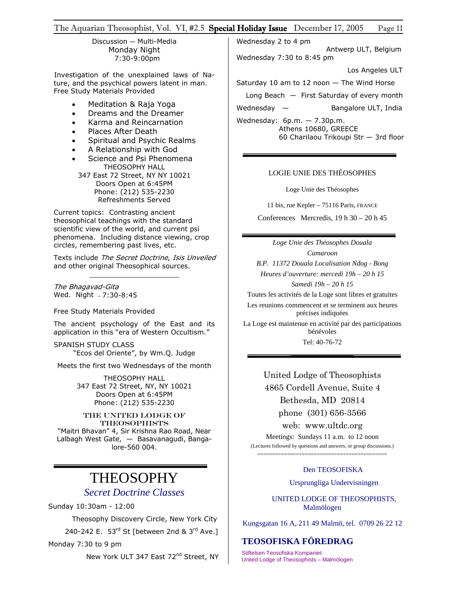### The Aquarian Theosophist, Vol. VI, #2.5 Special Holiday Issue December 17, 2005 Page 11

Discussion — Multi-Media Monday Night 7:30-9:00pm

Investigation of the unexplained laws of Nature, and the psychical powers latent in man. Free Study Materials Provided

- Meditation & Raja Yoga
- Dreams and the Dreamer
- Karma and Reincarnation
- Places After Death
- Spiritual and Psychic Realms
- A Relationship with God
- Science and Psi Phenomena THEOSOPHY HALL
	- 347 East 72 Street, NY NY 10021 Doors Open at 6:45PM Phone: (212) 535-2230 Refreshments Served

Current topics: Contrasting ancient theosophical teachings with the standard scientific view of the world, and current psi phenomena. Including distance viewing, crop circles, remembering past lives, etc.

Texts include *The Secret Doctrine, Isis Unveiled* and other original Theosophical sources. \_\_\_\_\_\_\_\_\_\_\_\_\_\_\_\_\_\_\_\_\_

The Bhagavad-Gita Wed. Night — 7:30-8:45

Free Study Materials Provided

The ancient psychology of the East and its application in this "era of Western Occultism."

SPANISH STUDY CLASS "Ecos del Oriente", by Wm.Q. Judge

Meets the first two Wednesdays of the month

THEOSOPHY HALL 347 East 72 Street, NY, NY 10021 Doors Open at 6:45PM Phone: (212) 535-2230

THE UNITED LODGE OF **THEOSOPHISTS** "Maitri Bhavan" 4, Sir Krishna Rao Road, Near Lalbagh West Gate, — Basavanagudi, Bangalore-560 004.

# THEOSOPHY

# *Secret Doctrine Classes*

Sunday 10:30am - 12:00

Theosophy Discovery Circle, New York City

240-242 E. 53rd St [between 2nd & 3rd Ave.]

Monday 7:30 to 9 pm

New York ULT 347 East 72<sup>nd</sup> Street, NY

Wednesday 2 to 4 pm

 Antwerp ULT, Belgium Wednesday 7:30 to 8:45 pm

Los Angeles ULT

Saturday 10 am to 12 noon — The Wind Horse

Long Beach — First Saturday of every month

Wednesday — Bangalore ULT, India

Wednesday: 6p.m. — 7.30p.m. Athens 10680, GREECE 60 Charilaou Trikoupi Str — 3rd floor

#### LOGIE UNIE DES THÉOSOPHES

Loge Unie des Théosophes

11 bis, rue Kepler – 75116 Paris, FRANCE

Conferences Mercredis,  $19 h 30 - 20 h 45$ 

*Loge Unie des Théosophes Douala Camaroon B.P. 11372 Douala Localisation Ndog - Bong Heures d'ouverture: mercedi 19h – 20 h 15 Samedi 19h – 20 h 15*  Toutes les activités de la Loge sont libres et gratuites Les reunions commencent et se terminent aux heures précises indiquées La Loge est maintenue en activité par des participations bénévoles

Tel: 40-76-72

United Lodge of Theosophists 4865 Cordell Avenue, Suite 4 Bethesda, MD 20814 phone (301) 656-3566 web: www.ultdc.org

Meetings: Sundays 11 a.m. to 12 noon (Lectures followed by questions and answers, or group discussions.) ============================================

#### Den TEOSOFISKA

Ursprungliga Undervisningen

 UNITED LODGE OF THEOSOPHISTS, Malmölogen

Kungsgatan 16 A, 211 49 Malmö, tel. 0709 26 22 12

## **TEOSOFISKA FÖREDRAG**

Stiftelsen Teosofiska Kompaniet United Lodge of Theosophists – Malmölogen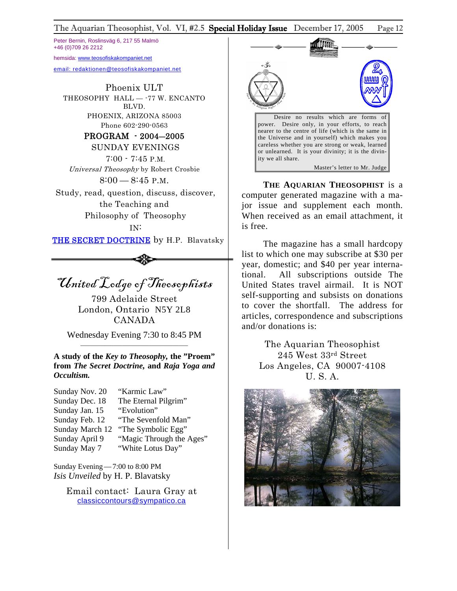## The Aquarian Theosophist, Vol. VI, #2.5 Special Holiday Issue December 17, 2005 Page 12

Peter Bernin, Roslinsväg 6, 217 55 Malmö +46 (0)709 26 2212

hemsida: [www.t](http://www.teosofiskakompaniet.net/)eosofiskakompaniet.net

[email: redaktionen@teosofiskakompaniet.net](http://www.teosofiskakompaniet.net/)

Phoenix ULT THEOSOPHY HALL -- 77 W. ENCANTO BLVD. PHOENIX, ARIZONA 85003 Phone 602-290-0563

## PROGRAM - 2004―2005

 SUNDAY EVENINGS 7:00 - 7:45 P.M. Universal Theosophy by Robert Crosbie 8:00 — 8:45 P.M.

Study, read, question, discuss, discover, the Teaching and Philosophy of Theosophy IN:

THE SECRET DOCTRINE by H.P. Blavatsky

United Lodge of Theosophists

799 Adelaide Street London, Ontario N5Y 2L8 CANADA

Wednesday Evening 7:30 to 8:45 PM \_\_\_\_\_\_\_\_\_\_\_\_\_\_\_\_\_\_\_\_\_\_\_\_\_\_\_\_\_\_\_\_\_\_\_\_

**A study of the** *Key to Theosophy,* **the "Proem" from** *The Secret Doctrine,* **and** *Raja Yoga and Occultism.* 

| Sunday Nov. 20 | "Karmic Law"                       |
|----------------|------------------------------------|
| Sunday Dec. 18 | The Eternal Pilgrim"               |
| Sunday Jan. 15 | "Evolution"                        |
| Sunday Feb. 12 | "The Sevenfold Man"                |
|                | Sunday March 12 "The Symbolic Egg" |
| Sunday April 9 | "Magic Through the Ages"           |
| Sunday May 7   | "White Lotus Day"                  |

Sunday Evening—7:00 to 8:00 PM *Isis Unveiled* by H. P. Blavatsky

> Email contact: Laura Gray at [classiccontours@sympatico.ca](mailto:classiccontours@sympatico.ca)



**THE AQUARIAN THEOSOPHIST** is a computer generated magazine with a major issue and supplement each month. When received as an email attachment, it is free.

The magazine has a small hardcopy list to which one may subscribe at \$30 per year, domestic; and \$40 per year international. All subscriptions outside The United States travel airmail. It is NOT self-supporting and subsists on donations to cover the shortfall. The address for articles, correspondence and subscriptions and/or donations is:

> The Aquarian Theosophist 245 West 33rd Street Los Angeles, CA 90007-4108 U. S. A.

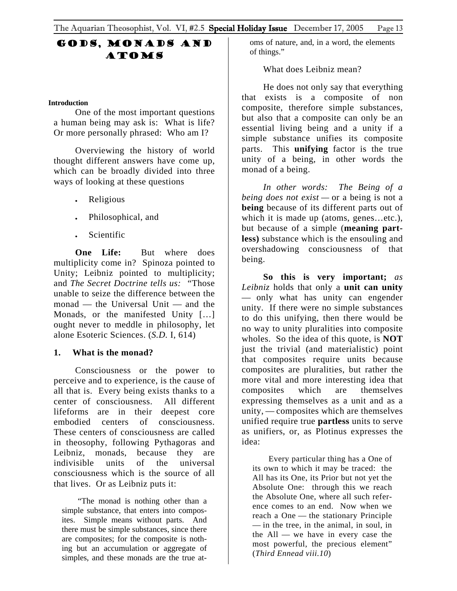# <span id="page-12-0"></span>Gods, Monads and **ATOMS**

## **Introduction**

One of the most important questions a human being may ask is: What is life? Or more personally phrased: Who am I?

Overviewing the history of world thought different answers have come up, which can be broadly divided into three ways of looking at these questions

- Religious
- Philosophical, and
- Scientific

**One Life:** But where does multiplicity come in? Spinoza pointed to Unity; Leibniz pointed to multiplicity; and *The Secret Doctrine tells us: "*Those unable to seize the difference between the monad — the Universal Unit — and the Monads, or the manifested Unity […] ought never to meddle in philosophy, let alone Esoteric Sciences. (*S.D.* I, 614)

## **1. What is the monad?**

Consciousness or the power to perceive and to experience, is the cause of all that is. Every being exists thanks to a center of consciousness. All different lifeforms are in their deepest core embodied centers of consciousness. These centers of consciousness are called in theosophy, following Pythagoras and Leibniz, monads, because they are indivisible units of the universal consciousness which is the source of all that lives. Or as Leibniz puts it:

"The monad is nothing other than a simple substance, that enters into composites. Simple means without parts. And there must be simple substances, since there are composites; for the composite is nothing but an accumulation or aggregate of simples, and these monads are the true atoms of nature, and, in a word, the elements of things."

What does Leibniz mean?

He does not only say that everything that exists is a composite of non composite, therefore simple substances, but also that a composite can only be an essential living being and a unity if a simple substance unifies its composite parts. This **unifying** factor is the true unity of a being, in other words the monad of a being.

*In other words: The Being of a being does not exist —* or a being is not a **being** because of its different parts out of which it is made up (atoms, genes…etc.), but because of a simple (**meaning partless)** substance which is the ensouling and overshadowing consciousness of that being.

**So this is very important;** *as Leibniz* holds that only a **unit can unity** — only what has unity can engender unity. If there were no simple substances to do this unifying, then there would be no way to unity pluralities into composite wholes. So the idea of this quote, is **NOT** just the trivial (and materialistic) point that composites require units because composites are pluralities, but rather the more vital and more interesting idea that composites which are themselves expressing themselves as a unit and as a unity, — composites which are themselves unified require true **partless** units to serve as unifiers, or, as Plotinus expresses the idea:

Every particular thing has a One of its own to which it may be traced: the All has its One, its Prior but not yet the Absolute One: through this we reach the Absolute One, where all such reference comes to an end. Now when we reach a One — the stationary Principle — in the tree, in the animal, in soul, in the All — we have in every case the most powerful, the precious element" (*Third Ennead viii.10*)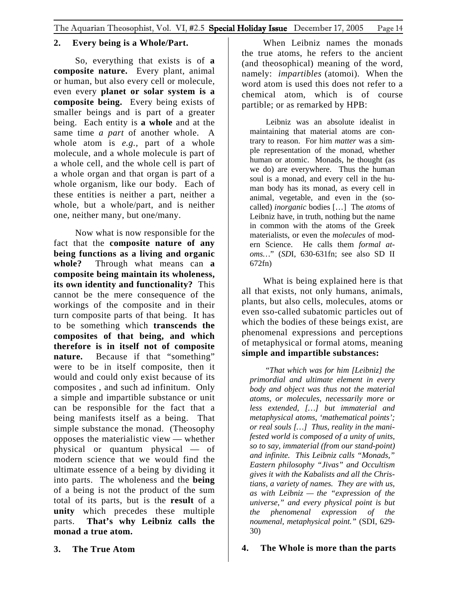# **2. Every being is a Whole/Part.**

So, everything that exists is of **a composite nature.** Every plant, animal or human, but also every cell or molecule, even every **planet or solar system is a composite being.** Every being exists of smaller beings and is part of a greater being. Each entity is **a whole** and at the same time *a part* of another whole. A whole atom is *e.g.,* part of a whole molecule, and a whole molecule is part of a whole cell, and the whole cell is part of a whole organ and that organ is part of a whole organism, like our body. Each of these entities is neither a part, neither a whole, but a whole/part, and is neither one, neither many, but one/many.

Now what is now responsible for the fact that the **composite nature of any being functions as a living and organic whole?**Through what means can **a composite being maintain its wholeness, its own identity and functionality?** This cannot be the mere consequence of the workings of the composite and in their turn composite parts of that being. It has to be something which **transcends the composites of that being, and which therefore is in itself not of composite nature.** Because if that "something" were to be in itself composite, then it would and could only exist because of its composites , and such ad infinitum. Only a simple and impartible substance or unit can be responsible for the fact that a being manifests itself as a being. That simple substance the monad. (Theosophy opposes the materialistic view — whether physical or quantum physical — of modern science that we would find the ultimate essence of a being by dividing it into parts. The wholeness and the **being**  of a being is not the product of the sum total of its parts, but is the **result** of a **unity** which precedes these multiple parts. **That's why Leibniz calls the monad a true atom.** 

When Leibniz names the monads the true atoms, he refers to the ancient (and theosophical) meaning of the word, namely: *impartibles* (atomoi). When the word atom is used this does not refer to a chemical atom, which is of course partible; or as remarked by HPB:

Leibniz was an absolute idealist in maintaining that material atoms are contrary to reason. For him *matter* was a simple representation of the monad, whether human or atomic. Monads, he thought (as we do) are everywhere. Thus the human soul is a monad, and every cell in the human body has its monad, as every cell in animal, vegetable, and even in the (socalled) *inorganic* bodies […] The *atoms* of Leibniz have, in truth, nothing but the name in common with the atoms of the Greek materialists, or even the *molecules* of modern Science. He calls them *formal atoms…*" (*SD*I, 630-631fn; see also SD II 672fn)

What is being explained here is that all that exists, not only humans, animals, plants, but also cells, molecules, atoms or even sso-called subatomic particles out of which the bodies of these beings exist, are phenomenal expressions and perceptions of metaphysical or formal atoms, meaning **simple and impartible substances:**

"*That which was for him [Leibniz] the primordial and ultimate element in every body and object was thus not the material atoms, or molecules, necessarily more or less extended, […] but immaterial and metaphysical atoms, 'mathematical points'; or real souls […] Thus, reality in the manifested world is composed of a unity of units, so to say, immaterial (from our stand-point) and infinite. This Leibniz calls "Monads," Eastern philosophy "Jivas" and Occultism gives it with the Kabalists and all the Christians, a variety of names. They are with us, as with Leibniz — the "expression of the universe," and every physical point is but the phenomenal expression of the noumenal, metaphysical point."* (SDI, 629- 30)

# **4. The Whole is more than the parts**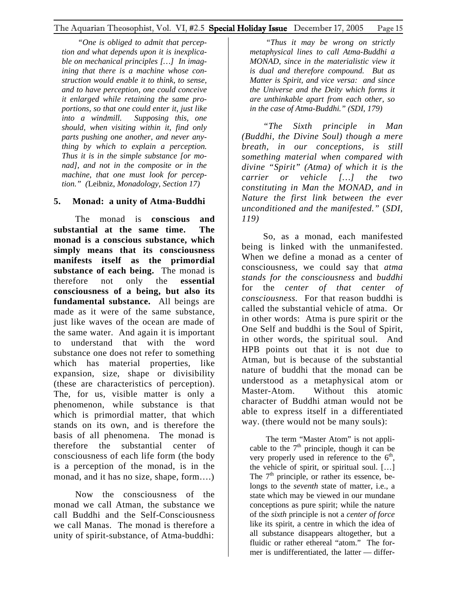*"One is obliged to admit that perception and what depends upon it is inexplicable on mechanical principles […] In imagining that there is a machine whose construction would enable it to think, to sense, and to have perception, one could conceive it enlarged while retaining the same proportions, so that one could enter it, just like into a windmill. Supposing this, one should, when visiting within it, find only parts pushing one another, and never anything by which to explain a perception. Thus it is in the simple substance [or monad], and not in the composite or in the machine, that one must look for perception." (*Leibniz, *Monadology, Section 17)* 

# **5. Monad: a unity of Atma-Buddhi**

The monad is **conscious and substantial at the same time. The monad is a conscious substance, which simply means that its consciousness manifests itself as the primordial substance of each being.** The monad is therefore not only the **essential consciousness of a being, but also its fundamental substance.** All beings are made as it were of the same substance, just like waves of the ocean are made of the same water. And again it is important to understand that with the word substance one does not refer to something which has material properties, like expansion, size, shape or divisibility (these are characteristics of perception). The, for us, visible matter is only a phenomenon, while substance is that which is primordial matter, that which stands on its own, and is therefore the basis of all phenomena. The monad is therefore the substantial center of consciousness of each life form (the body is a perception of the monad, is in the monad, and it has no size, shape, form….)

Now the consciousness of the monad we call Atman, the substance we call Buddhi and the Self-Consciousness we call Manas. The monad is therefore a unity of spirit-substance, of Atma-buddhi:

*"Thus it may be wrong on strictly metaphysical lines to call Atma-Buddhi a MONAD, since in the materialistic view it is dual and therefore compound. But as Matter is Spirit, and vice versa: and since the Universe and the Deity which forms it are unthinkable apart from each other, so in the case of Atma-Buddhi." (SDI, 179)* 

*"The Sixth principle in Man (Buddhi, the Divine Soul) though a mere breath, in our conceptions, is still something material when compared with divine "Spirit" (Atma) of which it is the carrier or vehicle […] the two constituting in Man the MONAD, and in Nature the first link between the ever unconditioned and the manifested."* (*SDI, 119)* 

So, as a monad, each manifested being is linked with the unmanifested. When we define a monad as a center of consciousness, we could say that *atma stands for the consciousness* and *buddhi*  for the *center of that center of consciousness.* For that reason buddhi is called the substantial vehicle of atma. Or in other words: Atma is pure spirit or the One Self and buddhi is the Soul of Spirit, in other words, the spiritual soul. And HPB points out that it is not due to Atman, but is because of the substantial nature of buddhi that the monad can be understood as a metaphysical atom or Master-Atom. Without this atomic character of Buddhi atman would not be able to express itself in a differentiated way. (there would not be many souls):

The term "Master Atom" is not applicable to the  $7<sup>th</sup>$  principle, though it can be very properly used in reference to the  $6<sup>th</sup>$ , the vehicle of spirit, or spiritual soul. […] The  $7<sup>th</sup>$  principle, or rather its essence, belongs to the *seventh* state of matter, i.e., a state which may be viewed in our mundane conceptions as pure spirit; while the nature of the *sixth* principle is not a *center of force*  like its spirit, a centre in which the idea of all substance disappears altogether, but a fluidic or rather ethereal "atom." The former is undifferentiated, the latter — differ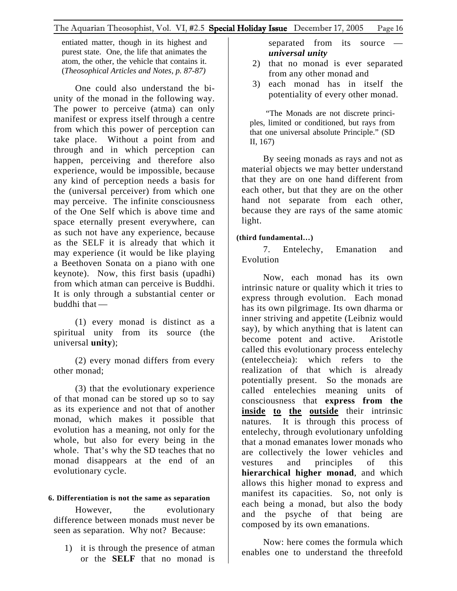entiated matter, though in its highest and purest state. One, the life that animates the atom, the other, the vehicle that contains it. (*Theosophical Articles and Notes, p. 87-87)* 

One could also understand the biunity of the monad in the following way. The power to perceive (atma) can only manifest or express itself through a centre from which this power of perception can take place. Without a point from and through and in which perception can happen, perceiving and therefore also experience, would be impossible, because any kind of perception needs a basis for the (universal perceiver) from which one may perceive. The infinite consciousness of the One Self which is above time and space eternally present everywhere, can as such not have any experience, because as the SELF it is already that which it may experience (it would be like playing a Beethoven Sonata on a piano with one keynote). Now, this first basis (upadhi) from which atman can perceive is Buddhi. It is only through a substantial center or buddhi that —

(1) every monad is distinct as a spiritual unity from its source (the universal **unity**);

(2) every monad differs from every other monad;

(3) that the evolutionary experience of that monad can be stored up so to say as its experience and not that of another monad, which makes it possible that evolution has a meaning, not only for the whole, but also for every being in the whole. That's why the SD teaches that no monad disappears at the end of an evolutionary cycle.

## **6. Differentiation is not the same as separation**

However, the evolutionary difference between monads must never be seen as separation. Why not? Because:

1) it is through the presence of atman or the **SELF** that no monad is

separated from its source *universal unity*

- 2) that no monad is ever separated from any other monad and
- 3) each monad has in itself the potentiality of every other monad.

"The Monads are not discrete principles, limited or conditioned, but rays from that one universal absolute Principle." (SD II, 167)

By seeing monads as rays and not as material objects we may better understand that they are on one hand different from each other, but that they are on the other hand not separate from each other, because they are rays of the same atomic light.

## **(third fundamental…)**

7. Entelechy, Emanation and Evolution

Now, each monad has its own intrinsic nature or quality which it tries to express through evolution. Each monad has its own pilgrimage. Its own dharma or inner striving and appetite (Leibniz would say), by which anything that is latent can become potent and active. Aristotle called this evolutionary process entelechy (enteleccheia): which refers to the realization of that which is already potentially present. So the monads are called entelechies meaning units of consciousness that **express from the inside to the outside** their intrinsic natures. It is through this process of entelechy, through evolutionary unfolding that a monad emanates lower monads who are collectively the lower vehicles and vestures and principles of this **hierarchical higher monad**, and which allows this higher monad to express and manifest its capacities. So, not only is each being a monad, but also the body and the psyche of that being are composed by its own emanations.

Now: here comes the formula which enables one to understand the threefold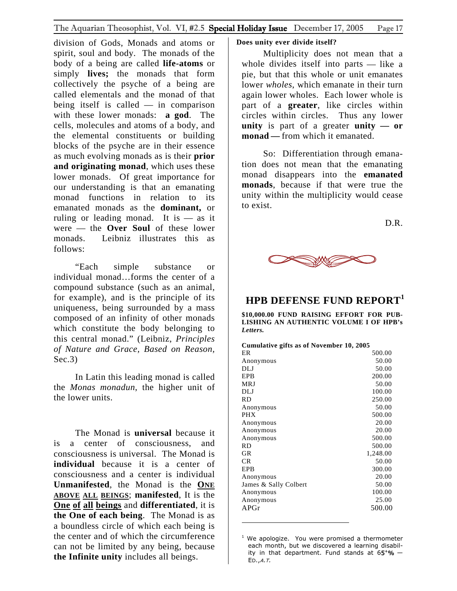<span id="page-16-0"></span>division of Gods, Monads and atoms or spirit, soul and body. The monads of the body of a being are called **life-atoms** or simply **lives;** the monads that form collectively the psyche of a being are called elementals and the monad of that being itself is called — in comparison with these lower monads: **a god**. The cells, molecules and atoms of a body, and the elemental constituents or building blocks of the psyche are in their essence as much evolving monads as is their **prior and originating monad**, which uses these lower monads. Of great importance for our understanding is that an emanating monad functions in relation to its emanated monads as the **dominant,** or ruling or leading monad. It is  $-$  as it were — the **Over Soul** of these lower monads. Leibniz illustrates this as follows:

"Each simple substance or individual monad…forms the center of a compound substance (such as an animal, for example), and is the principle of its uniqueness, being surrounded by a mass composed of an infinity of other monads which constitute the body belonging to this central monad." (Leibniz, *Principles of Nature and Grace, Based on Reason,*  $Sec.3)$ 

In Latin this leading monad is called the *Monas monadun*, the higher unit of the lower units.

The Monad is **universal** because it is a center of consciousness, and consciousness is universal. The Monad is **individual** because it is a center of consciousness and a center is individual **Unmanifested**, the Monad is the **ONE ABOVE ALL BEINGS**; **manifested**, It is the **One of all beings** and **differentiated**, it is **the One of each being**. The Monad is as a boundless circle of which each being is the center and of which the circumference can not be limited by any being, because **the Infinite unity** includes all beings.

## **Does unity ever divide itself?**

Multiplicity does not mean that a whole divides itself into parts — like a pie, but that this whole or unit emanates lower *wholes*, which emanate in their turn again lower wholes. Each lower whole is part of a **greater**, like circles within circles within circles. Thus any lower **unity** is part of a greater **unity — or monad** — from which it emanated.

So: Differentiation through emanation does not mean that the emanating monad disappears into the **emanated monads**, because if that were true the unity within the multiplicity would cease to exist.

D.R.



# **HPB DEFENSE FUND REPORT[1](#page-16-1)**

**\$10,000.00 FUND RAISING EFFORT FOR PUB-LISHING AN AUTHENTIC VOLUME I OF HPB's**  *Letters.*

| <b>Cumulative gifts as of November 10, 2005</b> |  |  |  |
|-------------------------------------------------|--|--|--|
|                                                 |  |  |  |

| ER                    | 500.00   |
|-----------------------|----------|
| Anonymous             | 50.00    |
| DLJ                   | 50.00    |
| EPB                   | 200.00   |
| <b>MRJ</b>            | 50.00    |
| DLJ                   | 100.00   |
| <b>RD</b>             | 250.00   |
| Anonymous             | 50.00    |
| <b>PHX</b>            | 500.00   |
| Anonymous             | 20.00    |
| Anonymous             | 20.00    |
| Anonymous             | 500.00   |
| <b>RD</b>             | 500.00   |
| <b>GR</b>             | 1,248.00 |
| <b>CR</b>             | 50.00    |
| EPB                   | 300.00   |
| Anonymous             | 20.00    |
| James & Sally Colbert | 50.00    |
| Anonymous             | 100.00   |
| Anonymous             | 25.00    |
| APGr                  | 500.00   |
|                       |          |

<span id="page-16-1"></span>. ED.,<sup>A</sup> <sup>T</sup>.  $1$  We apologize. You were promised a thermometer each month, but we discovered a learning disability in that department. Fund stands at  $65^{+}\%$  -

l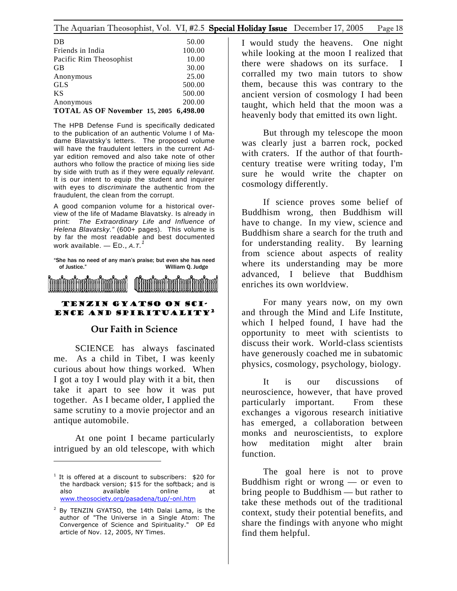## <span id="page-17-0"></span>The Aquarian Theosophist, Vol. VI, #2.5 Special Holiday Issue December 17, 2005 Page 18

| DB                                     | 50.00  |
|----------------------------------------|--------|
| Friends in India                       | 100.00 |
| Pacific Rim Theosophist                | 10.00  |
| <b>GB</b>                              | 30.00  |
| Anonymous                              | 25.00  |
| <b>GLS</b>                             | 500.00 |
| <b>KS</b>                              | 500.00 |
| Anonymous                              | 200.00 |
| TOTAL AS OF November 15, 2005 6,498.00 |        |

The HPB Defense Fund is specifically dedicated to the publication of an authentic Volume I of Madame Blavatsky's letters. The proposed volume will have the fraudulent letters in the current Adyar edition removed and also take note of other authors who follow the practice of mixing lies side by side with truth as if they were *equally relevant.*  It is our intent to equip the student and inquirer with eyes to *discriminate* the authentic from the fraudulent, the clean from the corrupt.

A good companion volume for a historical overview of the life of Madame Blavatsky. Is already in print: *The Extraordinary Life and Influence of Helena Blavatsky."* (600+ pages). This volume is by far the most readable and best documented work available. — ED., *A.T. [1](#page-17-1)*

"She has no need of any man's praise; but even she has need of Justice." William Q. Judge



## Tenzin Gyatso on Science and Spirituality[2](#page-17-2)

## **Our Faith in Science**

SCIENCE has always fascinated me. As a child in Tibet, I was keenly curious about how things worked. When I got a toy I would play with it a bit, then take it apart to see how it was put together. As I became older, I applied the same scrutiny to a movie projector and an antique automobile.

At one point I became particularly intrigued by an old telescope, with which

I would study the heavens. One night while looking at the moon I realized that there were shadows on its surface. I corralled my two main tutors to show them, because this was contrary to the ancient version of cosmology I had been taught, which held that the moon was a heavenly body that emitted its own light.

But through my telescope the moon was clearly just a barren rock, pocked with craters. If the author of that fourthcentury treatise were writing today, I'm sure he would write the chapter on cosmology differently.

If science proves some belief of Buddhism wrong, then Buddhism will have to change. In my view, science and Buddhism share a search for the truth and for understanding reality. By learning from science about aspects of reality where its understanding may be more advanced, I believe that Buddhism enriches its own worldview.

For many years now, on my own and through the Mind and Life Institute, which I helped found, I have had the opportunity to meet with scientists to discuss their work. World-class scientists have generously coached me in subatomic physics, cosmology, psychology, biology.

It is our discussions of neuroscience, however, that have proved particularly important. From these exchanges a vigorous research initiative has emerged, a collaboration between monks and neuroscientists, to explore how meditation might alter brain function.

The goal here is not to prove Buddhism right or wrong — or even to bring people to Buddhism — but rather to take these methods out of the traditional context, study their potential benefits, and share the findings with anyone who might find them helpful.

<span id="page-17-1"></span><sup>&</sup>lt;sup>1</sup> It is offered at a discount to subscribers: \$20 for the hardback version; \$15 for the softback; and is also available online at [www.theosociety.org/pasadena/tup/-onl.htm](http://www.theosociety.org/pasadena/tup/-onl.htm)

<span id="page-17-2"></span><sup>&</sup>lt;sup>2</sup> By TENZIN GYATSO, the 14th Dalai Lama, is the author of "The Universe in a Single Atom: The Convergence of Science and Spirituality." OP Ed article of Nov. 12, 2005, NY Times.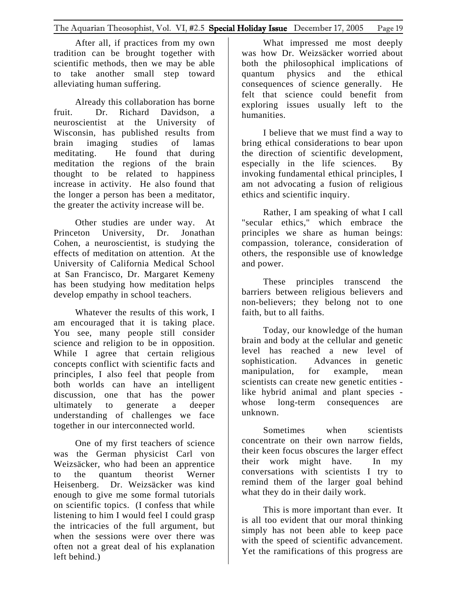After all, if practices from my own tradition can be brought together with scientific methods, then we may be able to take another small step toward alleviating human suffering.

Already this collaboration has borne fruit. Dr. Richard Davidson, a neuroscientist at the University of Wisconsin, has published results from brain imaging studies of lamas meditating. He found that during meditation the regions of the brain thought to be related to happiness increase in activity. He also found that the longer a person has been a meditator, the greater the activity increase will be.

Other studies are under way. At Princeton University, Dr. Jonathan Cohen, a neuroscientist, is studying the effects of meditation on attention. At the University of California Medical School at San Francisco, Dr. Margaret Kemeny has been studying how meditation helps develop empathy in school teachers.

Whatever the results of this work, I am encouraged that it is taking place. You see, many people still consider science and religion to be in opposition. While I agree that certain religious concepts conflict with scientific facts and principles, I also feel that people from both worlds can have an intelligent discussion, one that has the power ultimately to generate a deeper understanding of challenges we face together in our interconnected world.

One of my first teachers of science was the German physicist Carl von Weizsäcker, who had been an apprentice to the quantum theorist Werner Heisenberg. Dr. Weizsäcker was kind enough to give me some formal tutorials on scientific topics. (I confess that while listening to him I would feel I could grasp the intricacies of the full argument, but when the sessions were over there was often not a great deal of his explanation left behind.)

What impressed me most deeply was how Dr. Weizsäcker worried about both the philosophical implications of quantum physics and the ethical consequences of science generally. He felt that science could benefit from exploring issues usually left to the humanities.

I believe that we must find a way to bring ethical considerations to bear upon the direction of scientific development, especially in the life sciences. By invoking fundamental ethical principles, I am not advocating a fusion of religious ethics and scientific inquiry.

Rather, I am speaking of what I call "secular ethics," which embrace the principles we share as human beings: compassion, tolerance, consideration of others, the responsible use of knowledge and power.

These principles transcend the barriers between religious believers and non-believers; they belong not to one faith, but to all faiths.

Today, our knowledge of the human brain and body at the cellular and genetic level has reached a new level of sophistication. Advances in genetic manipulation, for example, mean scientists can create new genetic entities like hybrid animal and plant species whose long-term consequences are unknown.

Sometimes when scientists concentrate on their own narrow fields, their keen focus obscures the larger effect their work might have. In my conversations with scientists I try to remind them of the larger goal behind what they do in their daily work.

This is more important than ever. It is all too evident that our moral thinking simply has not been able to keep pace with the speed of scientific advancement. Yet the ramifications of this progress are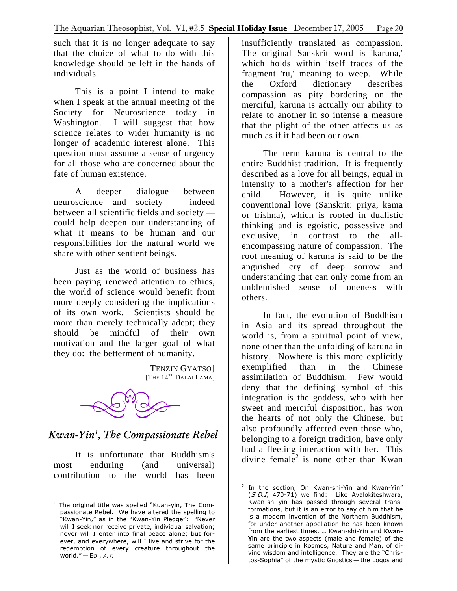<span id="page-19-0"></span>such that it is no longer adequate to say that the choice of what to do with this knowledge should be left in the hands of individuals.

This is a point I intend to make when I speak at the annual meeting of the Society for Neuroscience today in Washington. I will suggest that how science relates to wider humanity is no longer of academic interest alone. This question must assume a sense of urgency for all those who are concerned about the fate of human existence.

A deeper dialogue between neuroscience and society — indeed between all scientific fields and society could help deepen our understanding of what it means to be human and our responsibilities for the natural world we share with other sentient beings.

Just as the world of business has been paying renewed attention to ethics, the world of science would benefit from more deeply considering the implications of its own work. Scientists should be more than merely technically adept; they should be mindful of their own motivation and the larger goal of what they do: the betterment of humanity.

> TENZIN GYATSO] [THE  $14^{\text{th}}$  Dalai Lama]



*Kwan-Yin[1](#page-19-1) , The Compassionate Rebel*

It is unfortunate that Buddhism's most enduring (and universal) contribution to the world has been

 $\overline{a}$ 

insufficiently translated as compassion. The original Sanskrit word is 'karuna,' which holds within itself traces of the fragment 'ru,' meaning to weep. While the Oxford dictionary describes compassion as pity bordering on the merciful, karuna is actually our ability to relate to another in so intense a measure that the plight of the other affects us as much as if it had been our own.

The term karuna is central to the entire Buddhist tradition. It is frequently described as a love for all beings, equal in intensity to a mother's affection for her child. However, it is quite unlike conventional love (Sanskrit: priya, kama or trishna), which is rooted in dualistic thinking and is egoistic, possessive and exclusive, in contrast to the allencompassing nature of compassion. The root meaning of karuna is said to be the anguished cry of deep sorrow and understanding that can only come from an unblemished sense of oneness with others.

In fact, the evolution of Buddhism in Asia and its spread throughout the world is, from a spiritual point of view, none other than the unfolding of karuna in history. Nowhere is this more explicitly exemplified than in the Chinese assimilation of Buddhism. Few would deny that the defining symbol of this integration is the goddess, who with her sweet and merciful disposition, has won the hearts of not only the Chinese, but also profoundly affected even those who, belonging to a foreign tradition, have only had a fleeting interaction with her. This divine female<sup>[2](#page-19-2)</sup> is none other than Kwan

<span id="page-19-1"></span><sup>&</sup>lt;sup>1</sup> The original title was spelled "Kuan-yin, The Compassionate Rebel. We have altered the spelling to "Kwan-Yin," as in the "Kwan-Yin Pledge": "Never will I seek nor receive private, individual salvation; never will I enter into final peace alone; but forever, and everywhere, will I live and strive for the redemption of every creature throughout the world."  $-$  ED., A.T.

<span id="page-19-2"></span><sup>&</sup>lt;sup>2</sup> In the section, On Kwan-shi-Yin and Kwan-Yin" (S.D.I, 470-71) we find: Like Avalokiteshwara, Kwan-shi-yin has passed through several transformations, but it is an error to say of him that he is a modern invention of the Northern Buddhism, for under another appellation he has been known from the earliest times. ... Kwan-shi-Yin and Kwan-Yin are the two aspects (male and female) of the same principle in Kosmos, Nature and Man, of divine wisdom and intelligence. They are the "Christos-Sophia" of the mystic Gnostics — the Logos and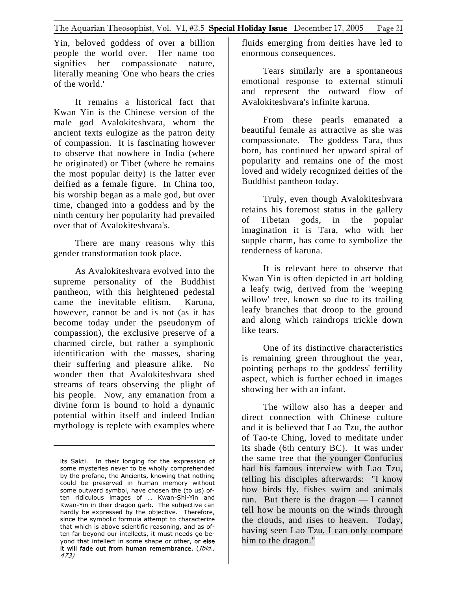Yin, beloved goddess of over a billion people the world over. Her name too signifies her compassionate nature, literally meaning 'One who hears the cries of the world.'

It remains a historical fact that Kwan Yin is the Chinese version of the male god Avalokiteshvara, whom the ancient texts eulogize as the patron deity of compassion. It is fascinating however to observe that nowhere in India (where he originated) or Tibet (where he remains the most popular deity) is the latter ever deified as a female figure. In China too, his worship began as a male god, but over time, changed into a goddess and by the ninth century her popularity had prevailed over that of Avalokiteshvara's.

There are many reasons why this gender transformation took place.

As Avalokiteshvara evolved into the supreme personality of the Buddhist pantheon, with this heightened pedestal came the inevitable elitism. Karuna, however, cannot be and is not (as it has become today under the pseudonym of compassion), the exclusive preserve of a charmed circle, but rather a symphonic identification with the masses, sharing their suffering and pleasure alike. No wonder then that Avalokiteshvara shed streams of tears observing the plight of his people. Now, any emanation from a divine form is bound to hold a dynamic potential within itself and indeed Indian mythology is replete with examples where

fluids emerging from deities have led to enormous consequences.

Tears similarly are a spontaneous emotional response to external stimuli and represent the outward flow of Avalokiteshvara's infinite karuna.

From these pearls emanated a beautiful female as attractive as she was compassionate. The goddess Tara, thus born, has continued her upward spiral of popularity and remains one of the most loved and widely recognized deities of the Buddhist pantheon today.

Truly, even though Avalokiteshvara retains his foremost status in the gallery of Tibetan gods, in the popular imagination it is Tara, who with her supple charm, has come to symbolize the tenderness of karuna.

It is relevant here to observe that Kwan Yin is often depicted in art holding a leafy twig, derived from the 'weeping willow' tree, known so due to its trailing leafy branches that droop to the ground and along which raindrops trickle down like tears.

One of its distinctive characteristics is remaining green throughout the year, pointing perhaps to the goddess' fertility aspect, which is further echoed in images showing her with an infant.

The willow also has a deeper and direct connection with Chinese culture and it is believed that Lao Tzu, the author of Tao-te Ching, loved to meditate under its shade (6th century BC). It was under the same tree that the younger Confucius had his famous interview with Lao Tzu, telling his disciples afterwards: "I know how birds fly, fishes swim and animals run. But there is the dragon — I cannot tell how he mounts on the winds through the clouds, and rises to heaven. Today, having seen Lao Tzu, I can only compare him to the dragon."

its Sakti. In their longing for the expression of some mysteries never to be wholly comprehended by the profane, the Ancients, knowing that nothing could be preserved in human memory without some outward symbol, have chosen the (to us) often ridiculous images of … Kwan-Shi-Yin and Kwan-Yin in their dragon garb. The subjective can hardly be expressed by the objective. Therefore, since the symbolic formula attempt to characterize that which is above scientific reasoning, and as often far beyond our intellects, it must needs go beyond that intellect in some shape or other, or else it will fade out from human remembrance. (Ibid., 473)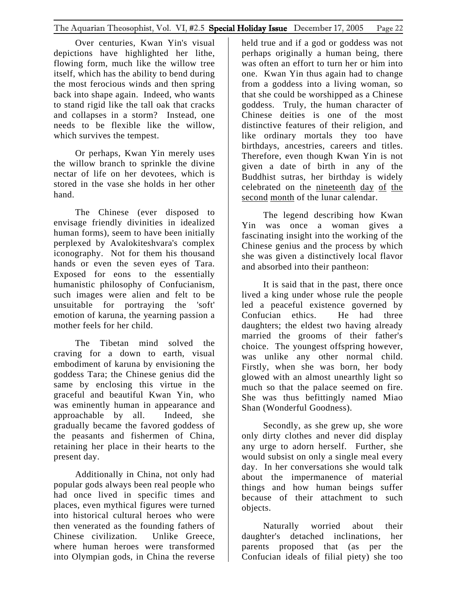Over centuries, Kwan Yin's visual depictions have highlighted her lithe, flowing form, much like the willow tree itself, which has the ability to bend during the most ferocious winds and then spring back into shape again. Indeed, who wants to stand rigid like the tall oak that cracks and collapses in a storm? Instead, one needs to be flexible like the willow, which survives the tempest.

Or perhaps, Kwan Yin merely uses the willow branch to sprinkle the divine nectar of life on her devotees, which is stored in the vase she holds in her other hand.

The Chinese (ever disposed to envisage friendly divinities in idealized human forms), seem to have been initially perplexed by Avalokiteshvara's complex iconography. Not for them his thousand hands or even the seven eyes of Tara. Exposed for eons to the essentially humanistic philosophy of Confucianism, such images were alien and felt to be unsuitable for portraying the 'soft' emotion of karuna, the yearning passion a mother feels for her child.

The Tibetan mind solved the craving for a down to earth, visual embodiment of karuna by envisioning the goddess Tara; the Chinese genius did the same by enclosing this virtue in the graceful and beautiful Kwan Yin, who was eminently human in appearance and approachable by all. Indeed, she gradually became the favored goddess of the peasants and fishermen of China, retaining her place in their hearts to the present day.

Additionally in China, not only had popular gods always been real people who had once lived in specific times and places, even mythical figures were turned into historical cultural heroes who were then venerated as the founding fathers of Chinese civilization. Unlike Greece, where human heroes were transformed into Olympian gods, in China the reverse

held true and if a god or goddess was not perhaps originally a human being, there was often an effort to turn her or him into one. Kwan Yin thus again had to change from a goddess into a living woman, so that she could be worshipped as a Chinese goddess. Truly, the human character of Chinese deities is one of the most distinctive features of their religion, and like ordinary mortals they too have birthdays, ancestries, careers and titles. Therefore, even though Kwan Yin is not given a date of birth in any of the Buddhist sutras, her birthday is widely celebrated on the nineteenth day of the second month of the lunar calendar.

The legend describing how Kwan Yin was once a woman gives a fascinating insight into the working of the Chinese genius and the process by which she was given a distinctively local flavor and absorbed into their pantheon:

It is said that in the past, there once lived a king under whose rule the people led a peaceful existence governed by Confucian ethics. He had three daughters; the eldest two having already married the grooms of their father's choice. The youngest offspring however, was unlike any other normal child. Firstly, when she was born, her body glowed with an almost unearthly light so much so that the palace seemed on fire. She was thus befittingly named Miao Shan (Wonderful Goodness).

Secondly, as she grew up, she wore only dirty clothes and never did display any urge to adorn herself. Further, she would subsist on only a single meal every day. In her conversations she would talk about the impermanence of material things and how human beings suffer because of their attachment to such objects.

Naturally worried about their daughter's detached inclinations, her parents proposed that (as per the Confucian ideals of filial piety) she too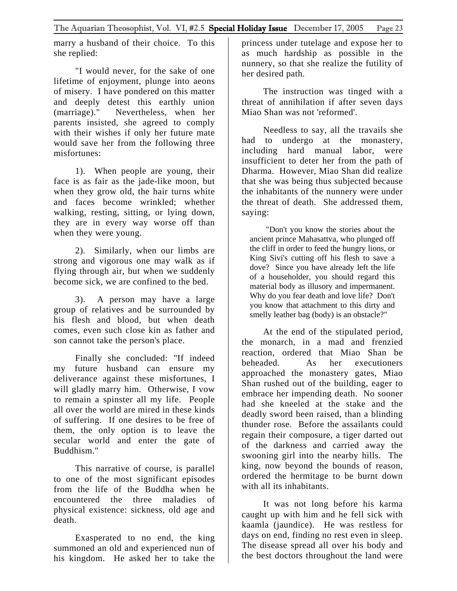marry a husband of their choice. To this she replied:

"I would never, for the sake of one lifetime of enjoyment, plunge into aeons of misery. I have pondered on this matter and deeply detest this earthly union (marriage)." Nevertheless, when her parents insisted, she agreed to comply with their wishes if only her future mate would save her from the following three misfortunes:

1). When people are young, their face is as fair as the jade-like moon, but when they grow old, the hair turns white and faces become wrinkled; whether walking, resting, sitting, or lying down, they are in every way worse off than when they were young.

2). Similarly, when our limbs are strong and vigorous one may walk as if flying through air, but when we suddenly become sick, we are confined to the bed.

3). A person may have a large group of relatives and be surrounded by his flesh and blood, but when death comes, even such close kin as father and son cannot take the person's place.

Finally she concluded: "If indeed my future husband can ensure my deliverance against these misfortunes, I will gladly marry him. Otherwise, I vow to remain a spinster all my life. People all over the world are mired in these kinds of suffering. If one desires to be free of them, the only option is to leave the secular world and enter the gate of Buddhism."

This narrative of course, is parallel to one of the most significant episodes from the life of the Buddha when he encountered the three maladies of physical existence: sickness, old age and death.

Exasperated to no end, the king summoned an old and experienced nun of his kingdom. He asked her to take the princess under tutelage and expose her to as much hardship as possible in the nunnery, so that she realize the futility of her desired path.

The instruction was tinged with a threat of annihilation if after seven days Miao Shan was not 'reformed'.

Needless to say, all the travails she had to undergo at the monastery, including hard manual labor, were insufficient to deter her from the path of Dharma. However, Miao Shan did realize that she was being thus subjected because the inhabitants of the nunnery were under the threat of death. She addressed them, saying:

"Don't you know the stories about the ancient prince Mahasattva, who plunged off the cliff in order to feed the hungry lions, or King Sivi's cutting off his flesh to save a dove? Since you have already left the life of a householder, you should regard this material body as illusory and impermanent. Why do you fear death and love life? Don't you know that attachment to this dirty and smelly leather bag (body) is an obstacle?"

At the end of the stipulated period, the monarch, in a mad and frenzied reaction, ordered that Miao Shan be beheaded. As her executioners approached the monastery gates, Miao Shan rushed out of the building, eager to embrace her impending death. No sooner had she kneeled at the stake and the deadly sword been raised, than a blinding thunder rose. Before the assailants could regain their composure, a tiger darted out of the darkness and carried away the swooning girl into the nearby hills. The king, now beyond the bounds of reason, ordered the hermitage to be burnt down with all its inhabitants.

It was not long before his karma caught up with him and he fell sick with kaamla (jaundice). He was restless for days on end, finding no rest even in sleep. The disease spread all over his body and the best doctors throughout the land were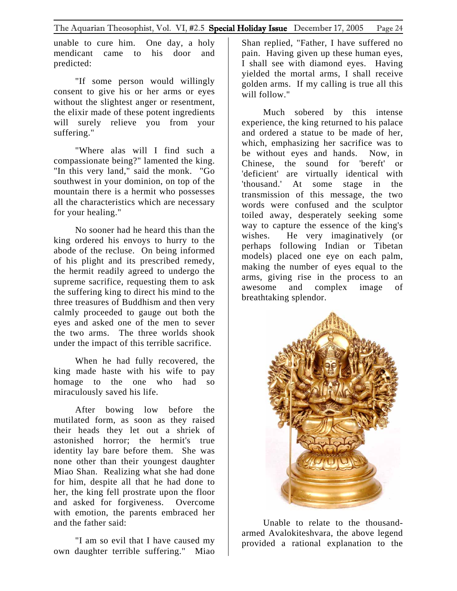unable to cure him. One day, a holy mendicant came to his door and predicted:

"If some person would willingly consent to give his or her arms or eyes without the slightest anger or resentment, the elixir made of these potent ingredients will surely relieve you from your suffering."

"Where alas will I find such a compassionate being?" lamented the king. "In this very land," said the monk. "Go southwest in your dominion, on top of the mountain there is a hermit who possesses all the characteristics which are necessary for your healing."

No sooner had he heard this than the king ordered his envoys to hurry to the abode of the recluse. On being informed of his plight and its prescribed remedy, the hermit readily agreed to undergo the supreme sacrifice, requesting them to ask the suffering king to direct his mind to the three treasures of Buddhism and then very calmly proceeded to gauge out both the eyes and asked one of the men to sever the two arms. The three worlds shook under the impact of this terrible sacrifice.

When he had fully recovered, the king made haste with his wife to pay homage to the one who had so miraculously saved his life.

After bowing low before the mutilated form, as soon as they raised their heads they let out a shriek of astonished horror; the hermit's true identity lay bare before them. She was none other than their youngest daughter Miao Shan. Realizing what she had done for him, despite all that he had done to her, the king fell prostrate upon the floor and asked for forgiveness. Overcome with emotion, the parents embraced her and the father said:

"I am so evil that I have caused my own daughter terrible suffering." Miao Shan replied, "Father, I have suffered no pain. Having given up these human eyes, I shall see with diamond eyes. Having yielded the mortal arms, I shall receive golden arms. If my calling is true all this will follow."

Much sobered by this intense experience, the king returned to his palace and ordered a statue to be made of her, which, emphasizing her sacrifice was to be without eyes and hands. Now, in Chinese, the sound for 'bereft' or 'deficient' are virtually identical with 'thousand.' At some stage in the transmission of this message, the two words were confused and the sculptor toiled away, desperately seeking some way to capture the essence of the king's wishes. He very imaginatively (or perhaps following Indian or Tibetan models) placed one eye on each palm, making the number of eyes equal to the arms, giving rise in the process to an awesome and complex image of breathtaking splendor.



Unable to relate to the thousandarmed Avalokiteshvara, the above legend provided a rational explanation to the